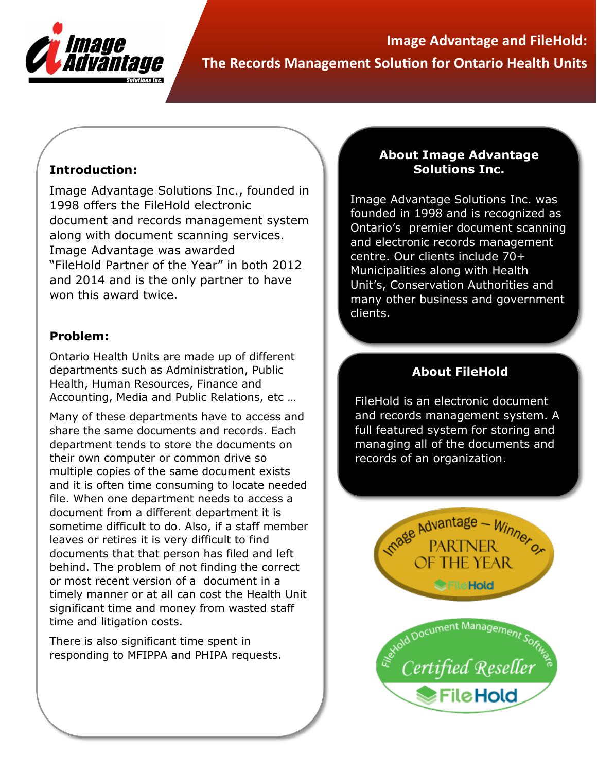

**Image Advantage and FileHold: The Records Management Solution for Ontario Health Units**

## **Introduction:**

Image Advantage Solutions Inc., founded in 1998 offers the FileHold electronic document and records management system along with document scanning services. Image Advantage was awarded "FileHold Partner of the Year" in both 2012 and 2014 and is the only partner to have won this award twice.

#### **Problem:**

Ontario Health Units are made up of different departments such as Administration, Public Health, Human Resources, Finance and Accounting, Media and Public Relations, etc …

Many of these departments have to access and share the same documents and records. Each department tends to store the documents on their own computer or common drive so multiple copies of the same document exists and it is often time consuming to locate needed file. When one department needs to access a document from a different department it is sometime difficult to do. Also, if a staff member leaves or retires it is very difficult to find documents that that person has filed and left behind. The problem of not finding the correct or most recent version of a document in a timely manner or at all can cost the Health Unit significant time and money from wasted staff time and litigation costs.

There is also significant time spent in responding to MFIPPA and PHIPA requests.

#### **About Image Advantage Solutions Inc.**

Image Advantage Solutions Inc. was founded in 1998 and is recognized as Ontario's premier document scanning and electronic records management centre. Our clients include 70+ Municipalities along with Health Unit's, Conservation Authorities and many other business and government clients.

# **About FileHold**

FileHold is an electronic document and records management system. A full featured system for storing and managing all of the documents and records of an organization.